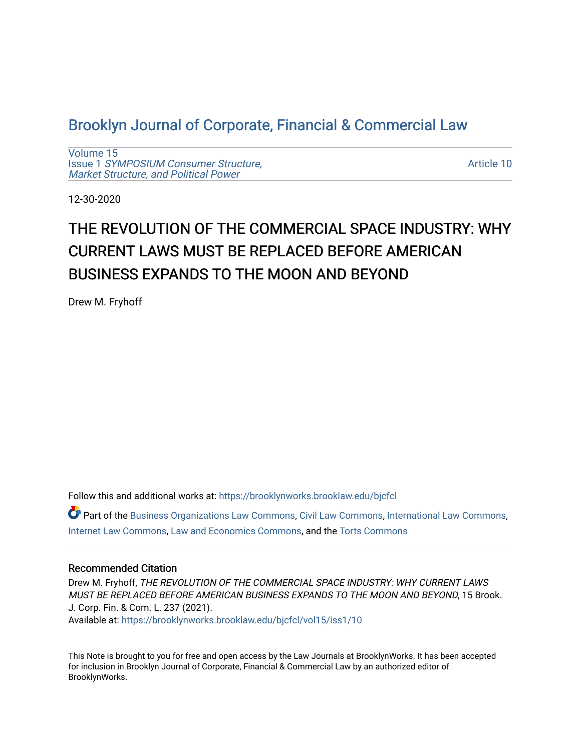# [Brooklyn Journal of Corporate, Financial & Commercial Law](https://brooklynworks.brooklaw.edu/bjcfcl)

[Volume 15](https://brooklynworks.brooklaw.edu/bjcfcl/vol15) Issue 1 [SYMPOSIUM Consumer Structure,](https://brooklynworks.brooklaw.edu/bjcfcl/vol15/iss1) [Market Structure, and Political Power](https://brooklynworks.brooklaw.edu/bjcfcl/vol15/iss1)

[Article 10](https://brooklynworks.brooklaw.edu/bjcfcl/vol15/iss1/10) 

12-30-2020

# THE REVOLUTION OF THE COMMERCIAL SPACE INDUSTRY: WHY CURRENT LAWS MUST BE REPLACED BEFORE AMERICAN BUSINESS EXPANDS TO THE MOON AND BEYOND

Drew M. Fryhoff

Follow this and additional works at: [https://brooklynworks.brooklaw.edu/bjcfcl](https://brooklynworks.brooklaw.edu/bjcfcl?utm_source=brooklynworks.brooklaw.edu%2Fbjcfcl%2Fvol15%2Fiss1%2F10&utm_medium=PDF&utm_campaign=PDFCoverPages)

Part of the [Business Organizations Law Commons](http://network.bepress.com/hgg/discipline/900?utm_source=brooklynworks.brooklaw.edu%2Fbjcfcl%2Fvol15%2Fiss1%2F10&utm_medium=PDF&utm_campaign=PDFCoverPages), [Civil Law Commons,](http://network.bepress.com/hgg/discipline/835?utm_source=brooklynworks.brooklaw.edu%2Fbjcfcl%2Fvol15%2Fiss1%2F10&utm_medium=PDF&utm_campaign=PDFCoverPages) [International Law Commons](http://network.bepress.com/hgg/discipline/609?utm_source=brooklynworks.brooklaw.edu%2Fbjcfcl%2Fvol15%2Fiss1%2F10&utm_medium=PDF&utm_campaign=PDFCoverPages), [Internet Law Commons,](http://network.bepress.com/hgg/discipline/892?utm_source=brooklynworks.brooklaw.edu%2Fbjcfcl%2Fvol15%2Fiss1%2F10&utm_medium=PDF&utm_campaign=PDFCoverPages) [Law and Economics Commons,](http://network.bepress.com/hgg/discipline/612?utm_source=brooklynworks.brooklaw.edu%2Fbjcfcl%2Fvol15%2Fiss1%2F10&utm_medium=PDF&utm_campaign=PDFCoverPages) and the [Torts Commons](http://network.bepress.com/hgg/discipline/913?utm_source=brooklynworks.brooklaw.edu%2Fbjcfcl%2Fvol15%2Fiss1%2F10&utm_medium=PDF&utm_campaign=PDFCoverPages) 

# Recommended Citation

Drew M. Fryhoff, THE REVOLUTION OF THE COMMERCIAL SPACE INDUSTRY: WHY CURRENT LAWS MUST BE REPLACED BEFORE AMERICAN BUSINESS EXPANDS TO THE MOON AND BEYOND, 15 Brook. J. Corp. Fin. & Com. L. 237 (2021). Available at: [https://brooklynworks.brooklaw.edu/bjcfcl/vol15/iss1/10](https://brooklynworks.brooklaw.edu/bjcfcl/vol15/iss1/10?utm_source=brooklynworks.brooklaw.edu%2Fbjcfcl%2Fvol15%2Fiss1%2F10&utm_medium=PDF&utm_campaign=PDFCoverPages) 

This Note is brought to you for free and open access by the Law Journals at BrooklynWorks. It has been accepted for inclusion in Brooklyn Journal of Corporate, Financial & Commercial Law by an authorized editor of BrooklynWorks.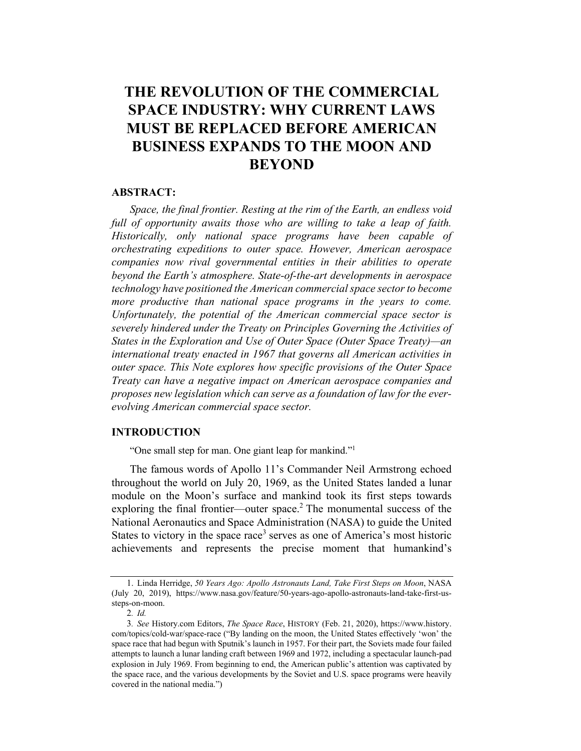# THE REVOLUTION OF THE COMMERCIAL SPACE INDUSTRY: WHY CURRENT LAWS MUST BE REPLACED BEFORE AMERICAN BUSINESS EXPANDS TO THE MOON AND **BEYOND**

# **ABSTRACT:**

Space, the final frontier. Resting at the rim of the Earth, an endless void full of opportunity awaits those who are willing to take a leap of faith. Historically, only national space programs have been capable of orchestrating expeditions to outer space. However, American aerospace companies now rival governmental entities in their abilities to operate beyond the Earth's atmosphere. State-of-the-art developments in aerospace technology have positioned the American commercial space sector to become more productive than national space programs in the years to come. Unfortunately, the potential of the American commercial space sector is severely hindered under the Treaty on Principles Governing the Activities of States in the Exploration and Use of Outer Space (Outer Space Treaty)—an international treaty enacted in 1967 that governs all American activities in outer space. This Note explores how specific provisions of the Outer Space Treaty can have a negative impact on American aerospace companies and proposes new legislation which can serve as a foundation of law for the everevolving American commercial space sector.

# INTRODUCTION

"One small step for man. One giant leap for mankind."1

The famous words of Apollo 11's Commander Neil Armstrong echoed throughout the world on July 20, 1969, as the United States landed a lunar module on the Moon's surface and mankind took its first steps towards exploring the final frontier—outer space.<sup>2</sup> The monumental success of the National Aeronautics and Space Administration (NASA) to guide the United States to victory in the space race<sup>3</sup> serves as one of America's most historic achievements and represents the precise moment that humankind's

<sup>1.</sup> Linda Herridge, 50 Years Ago: Apollo Astronauts Land, Take First Steps on Moon, NASA (July 20, 2019), https://www.nasa.gov/feature/50-years-ago-apollo-astronauts-land-take-first-ussteps-on-moon.

<sup>2</sup>. Id.

<sup>3</sup>. See History.com Editors, The Space Race, HISTORY (Feb. 21, 2020), https://www.history. com/topics/cold-war/space-race ("By landing on the moon, the United States effectively 'won' the space race that had begun with Sputnik's launch in 1957. For their part, the Soviets made four failed attempts to launch a lunar landing craft between 1969 and 1972, including a spectacular launch-pad explosion in July 1969. From beginning to end, the American public's attention was captivated by the space race, and the various developments by the Soviet and U.S. space programs were heavily covered in the national media.")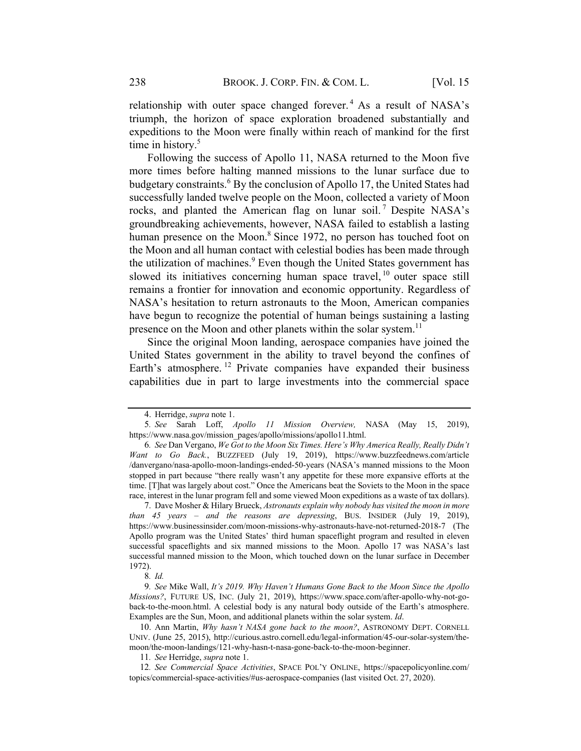relationship with outer space changed forever.<sup>4</sup> As a result of NASA's triumph, the horizon of space exploration broadened substantially and expeditions to the Moon were finally within reach of mankind for the first time in history.<sup>5</sup>

Following the success of Apollo 11, NASA returned to the Moon five more times before halting manned missions to the lunar surface due to budgetary constraints.<sup>6</sup> By the conclusion of Apollo 17, the United States had successfully landed twelve people on the Moon, collected a variety of Moon rocks, and planted the American flag on lunar soil.<sup>7</sup> Despite NASA's groundbreaking achievements, however, NASA failed to establish a lasting human presence on the Moon.<sup>8</sup> Since 1972, no person has touched foot on the Moon and all human contact with celestial bodies has been made through the utilization of machines.<sup>9</sup> Even though the United States government has slowed its initiatives concerning human space travel, <sup>10</sup> outer space still remains a frontier for innovation and economic opportunity. Regardless of NASA's hesitation to return astronauts to the Moon, American companies have begun to recognize the potential of human beings sustaining a lasting presence on the Moon and other planets within the solar system.<sup>11</sup>

Since the original Moon landing, aerospace companies have joined the United States government in the ability to travel beyond the confines of Earth's atmosphere. <sup>12</sup> Private companies have expanded their business capabilities due in part to large investments into the commercial space

<sup>4.</sup> Herridge, supra note 1.

<sup>5</sup>. See Sarah Loff, Apollo 11 Mission Overview, NASA (May 15, 2019), https://www.nasa.gov/mission\_pages/apollo/missions/apollo11.html.

<sup>6</sup>. See Dan Vergano, We Got to the Moon Six Times. Here's Why America Really, Really Didn't Want to Go Back., BUZZFEED (July 19, 2019), https://www.buzzfeednews.com/article /danvergano/nasa-apollo-moon-landings-ended-50-years (NASA's manned missions to the Moon stopped in part because "there really wasn't any appetite for these more expansive efforts at the time. [T]hat was largely about cost." Once the Americans beat the Soviets to the Moon in the space race, interest in the lunar program fell and some viewed Moon expeditions as a waste of tax dollars).

<sup>7.</sup> Dave Mosher & Hilary Brueck, Astronauts explain why nobody has visited the moon in more than 45 years – and the reasons are depressing, BUS. INSIDER (July 19, 2019), https://www.businessinsider.com/moon-missions-why-astronauts-have-not-returned-2018-7 (The Apollo program was the United States' third human spaceflight program and resulted in eleven successful spaceflights and six manned missions to the Moon. Apollo 17 was NASA's last successful manned mission to the Moon, which touched down on the lunar surface in December 1972).

<sup>8</sup>. Id.

<sup>9</sup>. See Mike Wall, It's 2019. Why Haven't Humans Gone Back to the Moon Since the Apollo Missions?, FUTURE US, INC. (July 21, 2019), https://www.space.com/after-apollo-why-not-goback-to-the-moon.html. A celestial body is any natural body outside of the Earth's atmosphere. Examples are the Sun, Moon, and additional planets within the solar system. Id.

<sup>10.</sup> Ann Martin, Why hasn't NASA gone back to the moon?, ASTRONOMY DEPT. CORNELL UNIV. (June 25, 2015), http://curious.astro.cornell.edu/legal-information/45-our-solar-system/themoon/the-moon-landings/121-why-hasn-t-nasa-gone-back-to-the-moon-beginner.

<sup>11</sup>. See Herridge, supra note 1.

<sup>12</sup>. See Commercial Space Activities, SPACE POL'Y ONLINE, https://spacepolicyonline.com/ topics/commercial-space-activities/#us-aerospace-companies (last visited Oct. 27, 2020).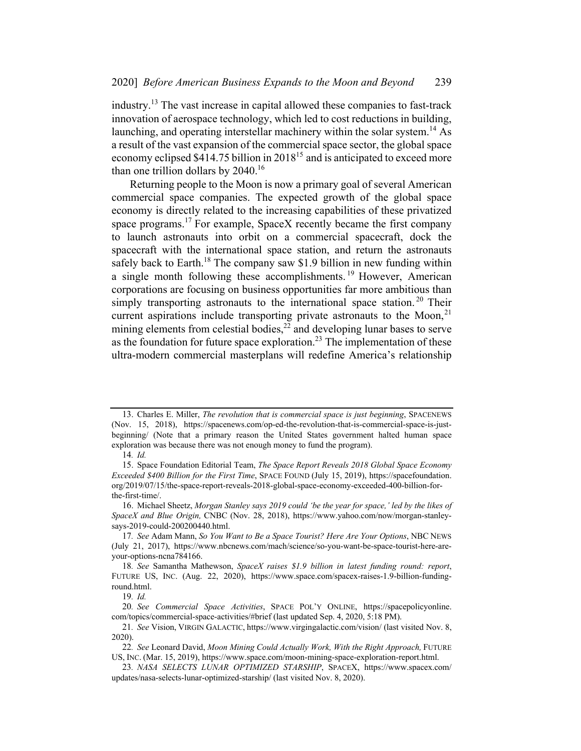industry.<sup>13</sup> The vast increase in capital allowed these companies to fast-track innovation of aerospace technology, which led to cost reductions in building, launching, and operating interstellar machinery within the solar system.<sup>14</sup> As a result of the vast expansion of the commercial space sector, the global space economy eclipsed \$414.75 billion in 2018<sup>15</sup> and is anticipated to exceed more than one trillion dollars by  $2040$ .<sup>16</sup>

Returning people to the Moon is now a primary goal of several American commercial space companies. The expected growth of the global space economy is directly related to the increasing capabilities of these privatized space programs.<sup>17</sup> For example, SpaceX recently became the first company to launch astronauts into orbit on a commercial spacecraft, dock the spacecraft with the international space station, and return the astronauts safely back to Earth.<sup>18</sup> The company saw \$1.9 billion in new funding within a single month following these accomplishments.<sup>19</sup> However, American corporations are focusing on business opportunities far more ambitious than simply transporting astronauts to the international space station.<sup>20</sup> Their current aspirations include transporting private astronauts to the Moon, $^{21}$ mining elements from celestial bodies,<sup>22</sup> and developing lunar bases to serve as the foundation for future space exploration.<sup>23</sup> The implementation of these ultra-modern commercial masterplans will redefine America's relationship

<sup>13.</sup> Charles E. Miller, The revolution that is commercial space is just beginning, SPACENEWS (Nov. 15, 2018), https://spacenews.com/op-ed-the-revolution-that-is-commercial-space-is-justbeginning/ (Note that a primary reason the United States government halted human space exploration was because there was not enough money to fund the program).

<sup>14</sup>. Id.

<sup>15.</sup> Space Foundation Editorial Team, The Space Report Reveals 2018 Global Space Economy Exceeded \$400 Billion for the First Time, SPACE FOUND (July 15, 2019), https://spacefoundation. org/2019/07/15/the-space-report-reveals-2018-global-space-economy-exceeded-400-billion-forthe-first-time/.

<sup>16.</sup> Michael Sheetz, Morgan Stanley says 2019 could 'be the year for space,' led by the likes of SpaceX and Blue Origin, CNBC (Nov. 28, 2018), https://www.yahoo.com/now/morgan-stanleysays-2019-could-200200440.html.

<sup>17.</sup> See Adam Mann, So You Want to Be a Space Tourist? Here Are Your Options, NBC NEWS (July 21, 2017), https://www.nbcnews.com/mach/science/so-you-want-be-space-tourist-here-areyour-options-ncna784166.

<sup>18</sup>. See Samantha Mathewson, SpaceX raises \$1.9 billion in latest funding round: report, FUTURE US, INC. (Aug. 22, 2020), https://www.space.com/spacex-raises-1.9-billion-fundinground.html.

<sup>19</sup>. Id.

<sup>20</sup>. See Commercial Space Activities, SPACE POL'Y ONLINE, https://spacepolicyonline. com/topics/commercial-space-activities/#brief (last updated Sep. 4, 2020, 5:18 PM).

<sup>21</sup>. See Vision, VIRGIN GALACTIC, https://www.virgingalactic.com/vision/ (last visited Nov. 8, 2020).

<sup>22.</sup> See Leonard David, Moon Mining Could Actually Work, With the Right Approach, FUTURE US, INC. (Mar. 15, 2019), https://www.space.com/moon-mining-space-exploration-report.html.

<sup>23</sup>. NASA SELECTS LUNAR OPTIMIZED STARSHIP, SPACEX, https://www.spacex.com/ updates/nasa-selects-lunar-optimized-starship/ (last visited Nov. 8, 2020).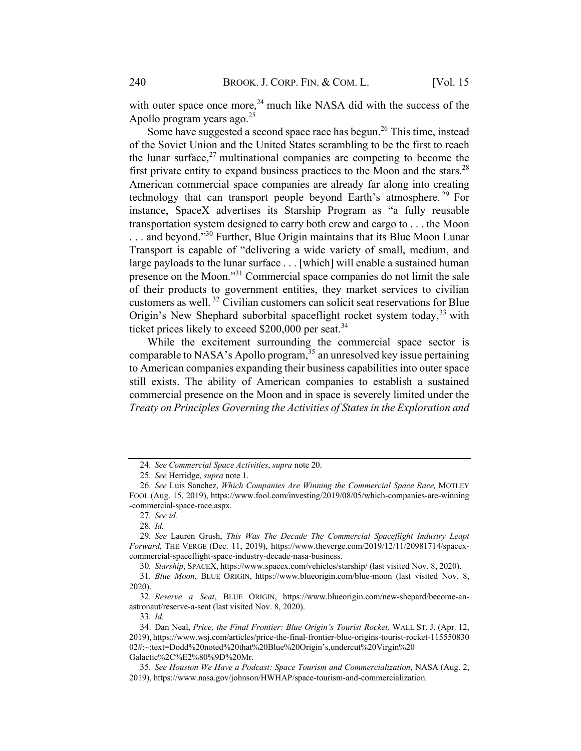with outer space once more,  $24$  much like NASA did with the success of the Apollo program years ago.<sup>25</sup>

Some have suggested a second space race has begun.26 This time, instead of the Soviet Union and the United States scrambling to be the first to reach the lunar surface,<sup>27</sup> multinational companies are competing to become the first private entity to expand business practices to the Moon and the stars.<sup>28</sup> American commercial space companies are already far along into creating technology that can transport people beyond Earth's atmosphere.<sup>29</sup> For instance, SpaceX advertises its Starship Program as "a fully reusable transportation system designed to carry both crew and cargo to . . . the Moon ... and beyond."<sup>30</sup> Further, Blue Origin maintains that its Blue Moon Lunar Transport is capable of "delivering a wide variety of small, medium, and large payloads to the lunar surface . . . [which] will enable a sustained human presence on the Moon."31 Commercial space companies do not limit the sale of their products to government entities, they market services to civilian customers as well. <sup>32</sup> Civilian customers can solicit seat reservations for Blue Origin's New Shephard suborbital spaceflight rocket system today,<sup>33</sup> with ticket prices likely to exceed  $$200,000$  per seat.<sup>34</sup>

While the excitement surrounding the commercial space sector is comparable to NASA's Apollo program,  $35$  an unresolved key issue pertaining to American companies expanding their business capabilities into outer space still exists. The ability of American companies to establish a sustained commercial presence on the Moon and in space is severely limited under the Treaty on Principles Governing the Activities of States in the Exploration and

30. Starship, SPACEX, https://www.spacex.com/vehicles/starship/ (last visited Nov. 8, 2020).

31. Blue Moon, BLUE ORIGIN, https://www.blueorigin.com/blue-moon (last visited Nov. 8, 2020).

32. Reserve a Seat, BLUE ORIGIN, https://www.blueorigin.com/new-shepard/become-anastronaut/reserve-a-seat (last visited Nov. 8, 2020).

33. Id.

<sup>24</sup>. See Commercial Space Activities, supra note 20.

<sup>25</sup>. See Herridge, supra note 1.

<sup>26</sup>. See Luis Sanchez, Which Companies Are Winning the Commercial Space Race, MOTLEY FOOL (Aug. 15, 2019), https://www.fool.com/investing/2019/08/05/which-companies-are-winning -commercial-space-race.aspx.

<sup>27</sup>. See id.

<sup>28</sup>. Id.

<sup>29</sup>. See Lauren Grush, This Was The Decade The Commercial Spaceflight Industry Leapt Forward, THE VERGE (Dec. 11, 2019), https://www.theverge.com/2019/12/11/20981714/spacexcommercial-spaceflight-space-industry-decade-nasa-business.

<sup>34.</sup> Dan Neal, Price, the Final Frontier: Blue Origin's Tourist Rocket, WALL ST. J. (Apr. 12, 2019), https://www.wsj.com/articles/price-the-final-frontier-blue-origins-tourist-rocket-115550830 02#:~:text=Dodd%20noted%20that%20Blue%20Origin's,undercut%20Virgin%20 Galactic%2C%E2%80%9D%20Mr.

<sup>35</sup>. See Houston We Have a Podcast: Space Tourism and Commercialization, NASA (Aug. 2, 2019), https://www.nasa.gov/johnson/HWHAP/space-tourism-and-commercialization.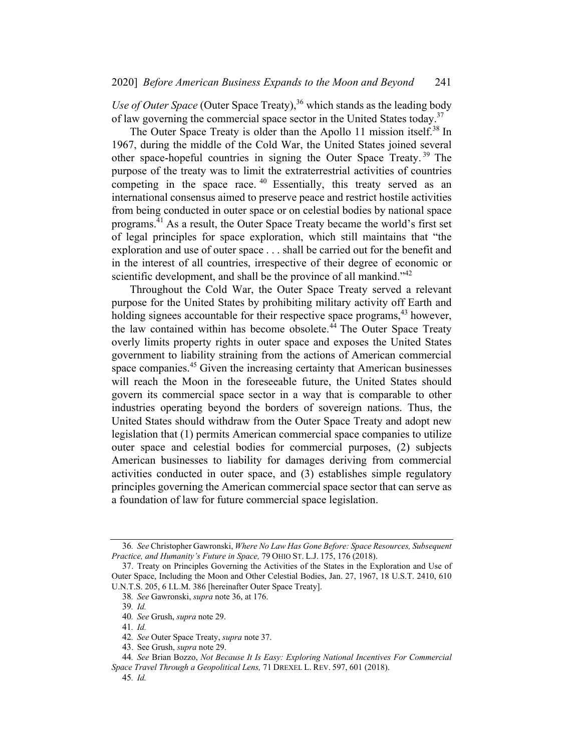Use of Outer Space (Outer Space Treaty),  $36$  which stands as the leading body of law governing the commercial space sector in the United States today.<sup>37</sup>

The Outer Space Treaty is older than the Apollo 11 mission itself.<sup>38</sup> In 1967, during the middle of the Cold War, the United States joined several other space-hopeful countries in signing the Outer Space Treaty. <sup>39</sup> The purpose of the treaty was to limit the extraterrestrial activities of countries competing in the space race. <sup>40</sup> Essentially, this treaty served as an international consensus aimed to preserve peace and restrict hostile activities from being conducted in outer space or on celestial bodies by national space programs.<sup>41</sup> As a result, the Outer Space Treaty became the world's first set of legal principles for space exploration, which still maintains that "the exploration and use of outer space . . . shall be carried out for the benefit and in the interest of all countries, irrespective of their degree of economic or scientific development, and shall be the province of all mankind."<sup>42</sup>

Throughout the Cold War, the Outer Space Treaty served a relevant purpose for the United States by prohibiting military activity off Earth and holding signees accountable for their respective space programs,<sup>43</sup> however, the law contained within has become obsolete.<sup>44</sup> The Outer Space Treaty overly limits property rights in outer space and exposes the United States government to liability straining from the actions of American commercial space companies.<sup>45</sup> Given the increasing certainty that American businesses will reach the Moon in the foreseeable future, the United States should govern its commercial space sector in a way that is comparable to other industries operating beyond the borders of sovereign nations. Thus, the United States should withdraw from the Outer Space Treaty and adopt new legislation that (1) permits American commercial space companies to utilize outer space and celestial bodies for commercial purposes, (2) subjects American businesses to liability for damages deriving from commercial activities conducted in outer space, and (3) establishes simple regulatory principles governing the American commercial space sector that can serve as a foundation of law for future commercial space legislation.

<sup>36</sup>. See Christopher Gawronski, Where No Law Has Gone Before: Space Resources, Subsequent Practice, and Humanity's Future in Space, 79 OHIO ST. L.J. 175, 176 (2018).

<sup>37.</sup> Treaty on Principles Governing the Activities of the States in the Exploration and Use of Outer Space, Including the Moon and Other Celestial Bodies, Jan. 27, 1967, 18 U.S.T. 2410, 610 U.N.T.S. 205, 6 I.L.M. 386 [hereinafter Outer Space Treaty].

<sup>38</sup>. See Gawronski, supra note 36, at 176.

<sup>39</sup>. Id.

<sup>40</sup>. See Grush, supra note 29.

<sup>41</sup>. Id.

<sup>42</sup>. See Outer Space Treaty, supra note 37.

<sup>43.</sup> See Grush, supra note 29.

<sup>44</sup>. See Brian Bozzo, Not Because It Is Easy: Exploring National Incentives For Commercial Space Travel Through a Geopolitical Lens, 71 DREXEL L. REV. 597, 601 (2018).

<sup>45</sup>. Id.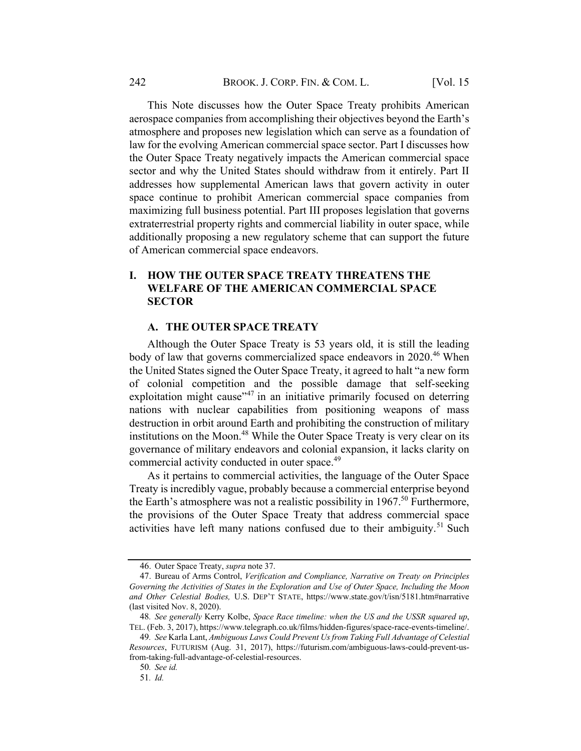This Note discusses how the Outer Space Treaty prohibits American aerospace companies from accomplishing their objectives beyond the Earth's atmosphere and proposes new legislation which can serve as a foundation of law for the evolving American commercial space sector. Part I discusses how the Outer Space Treaty negatively impacts the American commercial space sector and why the United States should withdraw from it entirely. Part II addresses how supplemental American laws that govern activity in outer space continue to prohibit American commercial space companies from maximizing full business potential. Part III proposes legislation that governs extraterrestrial property rights and commercial liability in outer space, while additionally proposing a new regulatory scheme that can support the future of American commercial space endeavors.

# I. HOW THE OUTER SPACE TREATY THREATENS THE WELFARE OF THE AMERICAN COMMERCIAL SPACE SECTOR

#### A. THE OUTER SPACE TREATY

Although the Outer Space Treaty is 53 years old, it is still the leading body of law that governs commercialized space endeavors in  $2020$ .<sup>46</sup> When the United States signed the Outer Space Treaty, it agreed to halt "a new form of colonial competition and the possible damage that self-seeking exploitation might cause<sup> $147$ </sup> in an initiative primarily focused on deterring nations with nuclear capabilities from positioning weapons of mass destruction in orbit around Earth and prohibiting the construction of military institutions on the Moon.<sup>48</sup> While the Outer Space Treaty is very clear on its governance of military endeavors and colonial expansion, it lacks clarity on commercial activity conducted in outer space.<sup>49</sup>

As it pertains to commercial activities, the language of the Outer Space Treaty is incredibly vague, probably because a commercial enterprise beyond the Earth's atmosphere was not a realistic possibility in  $1967$ .<sup>50</sup> Furthermore, the provisions of the Outer Space Treaty that address commercial space activities have left many nations confused due to their ambiguity.<sup>51</sup> Such

<sup>46.</sup> Outer Space Treaty, supra note 37.

<sup>47.</sup> Bureau of Arms Control, Verification and Compliance, Narrative on Treaty on Principles Governing the Activities of States in the Exploration and Use of Outer Space, Including the Moon and Other Celestial Bodies, U.S. DEP'T STATE, https://www.state.gov/t/isn/5181.htm#narrative (last visited Nov. 8, 2020).

<sup>48</sup>. See generally Kerry Kolbe, Space Race timeline: when the US and the USSR squared up, TEL. (Feb. 3, 2017), https://www.telegraph.co.uk/films/hidden-figures/space-race-events-timeline/.

<sup>49</sup>. See Karla Lant, Ambiguous Laws Could Prevent Us from Taking Full Advantage of Celestial Resources, FUTURISM (Aug. 31, 2017), https://futurism.com/ambiguous-laws-could-prevent-usfrom-taking-full-advantage-of-celestial-resources.

<sup>50</sup>. See id.

<sup>51</sup>. Id.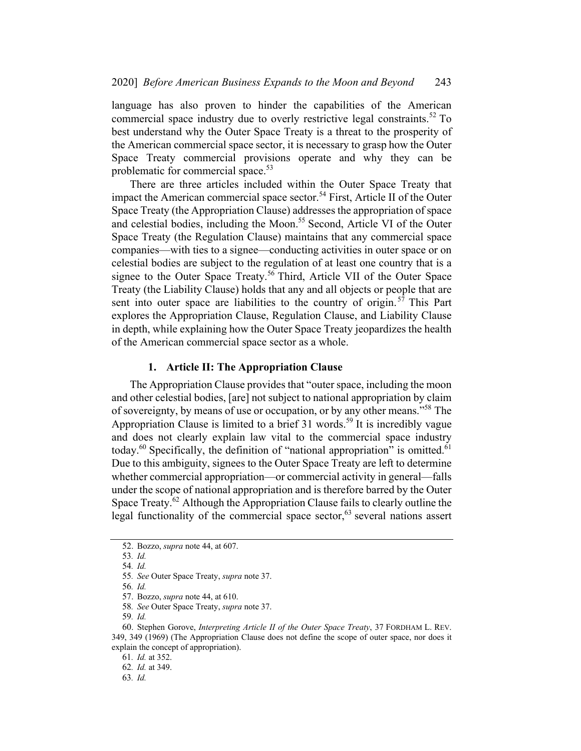language has also proven to hinder the capabilities of the American commercial space industry due to overly restrictive legal constraints.<sup>52</sup> To best understand why the Outer Space Treaty is a threat to the prosperity of the American commercial space sector, it is necessary to grasp how the Outer Space Treaty commercial provisions operate and why they can be problematic for commercial space.<sup>53</sup>

There are three articles included within the Outer Space Treaty that impact the American commercial space sector.<sup>54</sup> First, Article II of the Outer Space Treaty (the Appropriation Clause) addresses the appropriation of space and celestial bodies, including the Moon. <sup>55</sup> Second, Article VI of the Outer Space Treaty (the Regulation Clause) maintains that any commercial space companies—with ties to a signee—conducting activities in outer space or on celestial bodies are subject to the regulation of at least one country that is a signee to the Outer Space Treaty.<sup>56</sup> Third, Article VII of the Outer Space Treaty (the Liability Clause) holds that any and all objects or people that are sent into outer space are liabilities to the country of origin.<sup>57</sup> This Part explores the Appropriation Clause, Regulation Clause, and Liability Clause in depth, while explaining how the Outer Space Treaty jeopardizes the health of the American commercial space sector as a whole.

#### 1. Article II: The Appropriation Clause

The Appropriation Clause provides that "outer space, including the moon and other celestial bodies, [are] not subject to national appropriation by claim of sovereignty, by means of use or occupation, or by any other means."58 The Appropriation Clause is limited to a brief  $31$  words.<sup>59</sup> It is incredibly vague and does not clearly explain law vital to the commercial space industry today. $60$  Specifically, the definition of "national appropriation" is omitted. $61$ Due to this ambiguity, signees to the Outer Space Treaty are left to determine whether commercial appropriation—or commercial activity in general—falls under the scope of national appropriation and is therefore barred by the Outer Space Treaty.<sup>62</sup> Although the Appropriation Clause fails to clearly outline the legal functionality of the commercial space sector,  $63$  several nations assert

<sup>52.</sup> Bozzo, supra note 44, at 607.

<sup>53</sup>. Id.

<sup>54</sup>. Id.

<sup>55</sup>. See Outer Space Treaty, supra note 37.

<sup>56</sup>. Id.

<sup>57.</sup> Bozzo, supra note 44, at 610.

<sup>58</sup>. See Outer Space Treaty, supra note 37.

<sup>59</sup>. Id.

<sup>60.</sup> Stephen Gorove, Interpreting Article II of the Outer Space Treaty, 37 FORDHAM L. REV. 349, 349 (1969) (The Appropriation Clause does not define the scope of outer space, nor does it explain the concept of appropriation).

<sup>61</sup>. Id. at 352.

<sup>62</sup>. Id. at 349.

<sup>63</sup>. Id.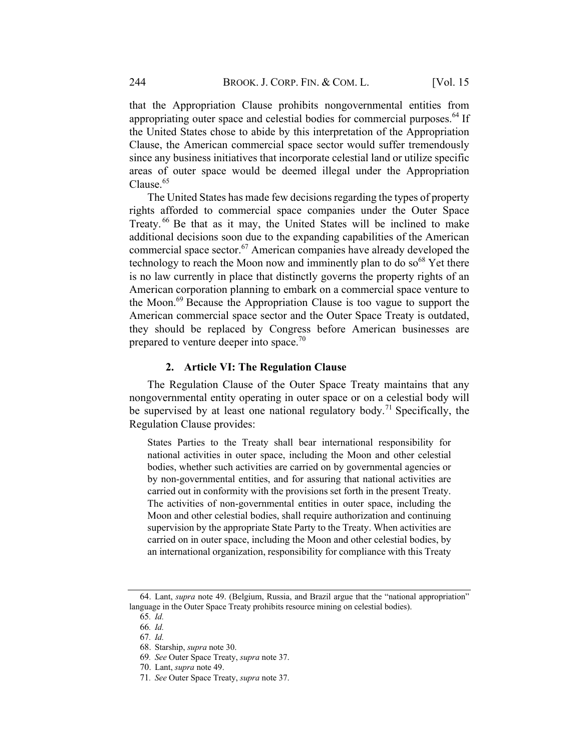that the Appropriation Clause prohibits nongovernmental entities from appropriating outer space and celestial bodies for commercial purposes. $^{64}$  If the United States chose to abide by this interpretation of the Appropriation Clause, the American commercial space sector would suffer tremendously since any business initiatives that incorporate celestial land or utilize specific areas of outer space would be deemed illegal under the Appropriation Clause.<sup>65</sup>

The United States has made few decisions regarding the types of property rights afforded to commercial space companies under the Outer Space Treaty.<sup>66</sup> Be that as it may, the United States will be inclined to make additional decisions soon due to the expanding capabilities of the American commercial space sector.<sup>67</sup> American companies have already developed the technology to reach the Moon now and imminently plan to do  $so^{68}$  Yet there is no law currently in place that distinctly governs the property rights of an American corporation planning to embark on a commercial space venture to the Moon.<sup>69</sup> Because the Appropriation Clause is too vague to support the American commercial space sector and the Outer Space Treaty is outdated, they should be replaced by Congress before American businesses are prepared to venture deeper into space.<sup>70</sup>

#### 2. Article VI: The Regulation Clause

The Regulation Clause of the Outer Space Treaty maintains that any nongovernmental entity operating in outer space or on a celestial body will be supervised by at least one national regulatory body.<sup>71</sup> Specifically, the Regulation Clause provides:

States Parties to the Treaty shall bear international responsibility for national activities in outer space, including the Moon and other celestial bodies, whether such activities are carried on by governmental agencies or by non-governmental entities, and for assuring that national activities are carried out in conformity with the provisions set forth in the present Treaty. The activities of non-governmental entities in outer space, including the Moon and other celestial bodies, shall require authorization and continuing supervision by the appropriate State Party to the Treaty. When activities are carried on in outer space, including the Moon and other celestial bodies, by an international organization, responsibility for compliance with this Treaty

<sup>64.</sup> Lant, supra note 49. (Belgium, Russia, and Brazil argue that the "national appropriation" language in the Outer Space Treaty prohibits resource mining on celestial bodies).

<sup>65</sup>. Id.

<sup>66</sup>. Id.

<sup>67</sup>. Id.

<sup>68.</sup> Starship, supra note 30.

<sup>69</sup>. See Outer Space Treaty, supra note 37.

<sup>70.</sup> Lant, supra note 49.

<sup>71</sup>. See Outer Space Treaty, supra note 37.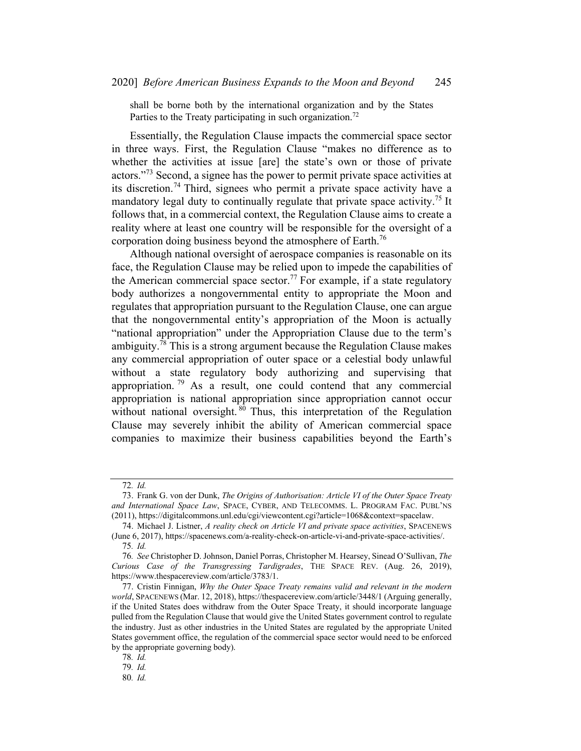shall be borne both by the international organization and by the States Parties to the Treaty participating in such organization.<sup>72</sup>

Essentially, the Regulation Clause impacts the commercial space sector in three ways. First, the Regulation Clause "makes no difference as to whether the activities at issue [are] the state's own or those of private actors."<sup>73</sup> Second, a signee has the power to permit private space activities at its discretion.<sup>74</sup> Third, signees who permit a private space activity have a mandatory legal duty to continually regulate that private space activity.<sup>75</sup> It follows that, in a commercial context, the Regulation Clause aims to create a reality where at least one country will be responsible for the oversight of a corporation doing business beyond the atmosphere of Earth.<sup>76</sup>

Although national oversight of aerospace companies is reasonable on its face, the Regulation Clause may be relied upon to impede the capabilities of the American commercial space sector.<sup>77</sup> For example, if a state regulatory body authorizes a nongovernmental entity to appropriate the Moon and regulates that appropriation pursuant to the Regulation Clause, one can argue that the nongovernmental entity's appropriation of the Moon is actually "national appropriation" under the Appropriation Clause due to the term's ambiguity.<sup>78</sup> This is a strong argument because the Regulation Clause makes any commercial appropriation of outer space or a celestial body unlawful without a state regulatory body authorizing and supervising that appropriation.  $\frac{79}{9}$  As a result, one could contend that any commercial appropriation is national appropriation since appropriation cannot occur without national oversight. <sup>80</sup> Thus, this interpretation of the Regulation Clause may severely inhibit the ability of American commercial space companies to maximize their business capabilities beyond the Earth's

<sup>72</sup>. Id.

<sup>73.</sup> Frank G. von der Dunk, The Origins of Authorisation: Article VI of the Outer Space Treaty and International Space Law, SPACE, CYBER, AND TELECOMMS. L. PROGRAM FAC. PUBL'NS (2011), https://digitalcommons.unl.edu/cgi/viewcontent.cgi?article=1068&context=spacelaw.

<sup>74.</sup> Michael J. Listner, A reality check on Article VI and private space activities, SPACENEWS (June 6, 2017), https://spacenews.com/a-reality-check-on-article-vi-and-private-space-activities/.

<sup>75</sup>. Id.

<sup>76</sup>. See Christopher D. Johnson, Daniel Porras, Christopher M. Hearsey, Sinead O'Sullivan, The Curious Case of the Transgressing Tardigrades, THE SPACE REV. (Aug. 26, 2019), https://www.thespacereview.com/article/3783/1.

<sup>77.</sup> Cristin Finnigan, Why the Outer Space Treaty remains valid and relevant in the modern world, SPACENEWS (Mar. 12, 2018), https://thespacereview.com/article/3448/1 (Arguing generally, if the United States does withdraw from the Outer Space Treaty, it should incorporate language pulled from the Regulation Clause that would give the United States government control to regulate the industry. Just as other industries in the United States are regulated by the appropriate United States government office, the regulation of the commercial space sector would need to be enforced by the appropriate governing body).

<sup>78</sup>. Id.

<sup>79</sup>. Id.

<sup>80</sup>. Id.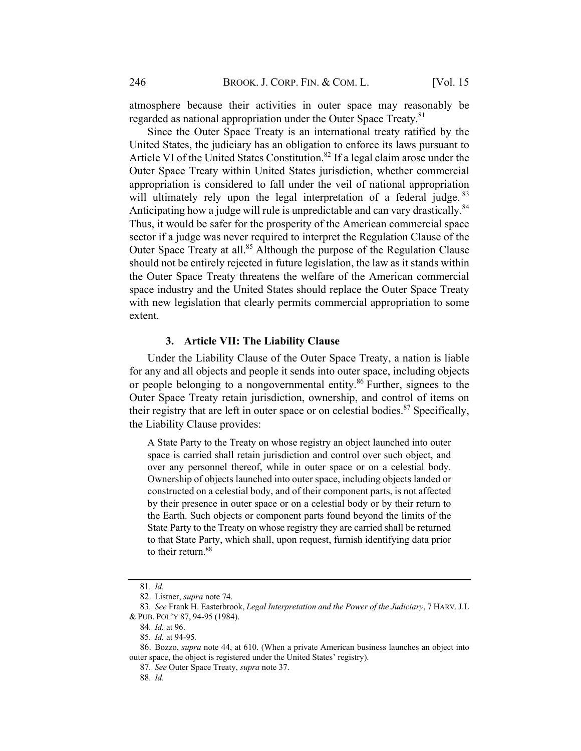atmosphere because their activities in outer space may reasonably be regarded as national appropriation under the Outer Space Treaty.<sup>81</sup>

Since the Outer Space Treaty is an international treaty ratified by the United States, the judiciary has an obligation to enforce its laws pursuant to Article VI of the United States Constitution.<sup>82</sup> If a legal claim arose under the Outer Space Treaty within United States jurisdiction, whether commercial appropriation is considered to fall under the veil of national appropriation will ultimately rely upon the legal interpretation of a federal judge. 83 Anticipating how a judge will rule is unpredictable and can vary drastically.<sup>84</sup> Thus, it would be safer for the prosperity of the American commercial space sector if a judge was never required to interpret the Regulation Clause of the Outer Space Treaty at all.<sup>85</sup> Although the purpose of the Regulation Clause should not be entirely rejected in future legislation, the law as it stands within the Outer Space Treaty threatens the welfare of the American commercial space industry and the United States should replace the Outer Space Treaty with new legislation that clearly permits commercial appropriation to some extent.

#### 3. Article VII: The Liability Clause

Under the Liability Clause of the Outer Space Treaty, a nation is liable for any and all objects and people it sends into outer space, including objects or people belonging to a nongovernmental entity.<sup>86</sup> Further, signees to the Outer Space Treaty retain jurisdiction, ownership, and control of items on their registry that are left in outer space or on celestial bodies.<sup>87</sup> Specifically, the Liability Clause provides:

A State Party to the Treaty on whose registry an object launched into outer space is carried shall retain jurisdiction and control over such object, and over any personnel thereof, while in outer space or on a celestial body. Ownership of objects launched into outer space, including objects landed or constructed on a celestial body, and of their component parts, is not affected by their presence in outer space or on a celestial body or by their return to the Earth. Such objects or component parts found beyond the limits of the State Party to the Treaty on whose registry they are carried shall be returned to that State Party, which shall, upon request, furnish identifying data prior to their return.<sup>88</sup>

<sup>81</sup>. Id.

<sup>82.</sup> Listner, supra note 74.

<sup>83.</sup> See Frank H. Easterbrook, Legal Interpretation and the Power of the Judiciary, 7 HARV. J.L. & PUB. POL'Y 87, 94-95 (1984).

<sup>84</sup>. Id. at 96.

<sup>85</sup>. Id. at 94-95.

<sup>86.</sup> Bozzo, supra note 44, at 610. (When a private American business launches an object into outer space, the object is registered under the United States' registry).

<sup>87</sup>. See Outer Space Treaty, supra note 37.

<sup>88</sup>. Id.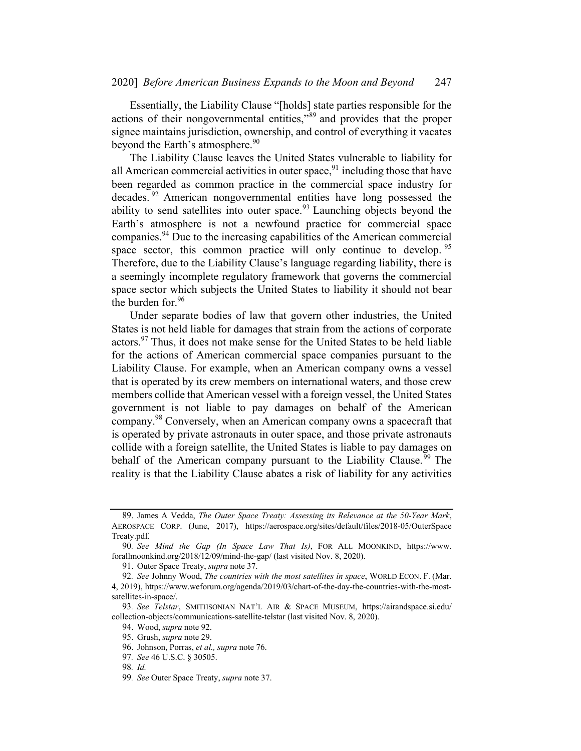Essentially, the Liability Clause "[holds] state parties responsible for the actions of their nongovernmental entities,"<sup>89</sup> and provides that the proper signee maintains jurisdiction, ownership, and control of everything it vacates beyond the Earth's atmosphere.<sup>90</sup>

The Liability Clause leaves the United States vulnerable to liability for all American commercial activities in outer space,  $91$  including those that have been regarded as common practice in the commercial space industry for decades. <sup>92</sup> American nongovernmental entities have long possessed the ability to send satellites into outer space.<sup>93</sup> Launching objects beyond the Earth's atmosphere is not a newfound practice for commercial space companies.<sup>94</sup> Due to the increasing capabilities of the American commercial space sector, this common practice will only continue to develop.<sup>95</sup> Therefore, due to the Liability Clause's language regarding liability, there is a seemingly incomplete regulatory framework that governs the commercial space sector which subjects the United States to liability it should not bear the burden for.<sup>96</sup>

Under separate bodies of law that govern other industries, the United States is not held liable for damages that strain from the actions of corporate actors.<sup>97</sup> Thus, it does not make sense for the United States to be held liable for the actions of American commercial space companies pursuant to the Liability Clause. For example, when an American company owns a vessel that is operated by its crew members on international waters, and those crew members collide that American vessel with a foreign vessel, the United States government is not liable to pay damages on behalf of the American company.<sup>98</sup> Conversely, when an American company owns a spacecraft that is operated by private astronauts in outer space, and those private astronauts collide with a foreign satellite, the United States is liable to pay damages on behalf of the American company pursuant to the Liability Clause.<sup>99</sup> The reality is that the Liability Clause abates a risk of liability for any activities

<sup>89.</sup> James A Vedda, The Outer Space Treaty: Assessing its Relevance at the 50-Year Mark, AEROSPACE CORP. (June, 2017), https://aerospace.org/sites/default/files/2018-05/OuterSpace Treaty.pdf.

<sup>90</sup>. See Mind the Gap (In Space Law That Is), FOR ALL MOONKIND, https://www. forallmoonkind.org/2018/12/09/mind-the-gap/ (last visited Nov. 8, 2020).

<sup>91.</sup> Outer Space Treaty, supra note 37.

<sup>92.</sup> See Johnny Wood, The countries with the most satellites in space, WORLD ECON. F. (Mar. 4, 2019), https://www.weforum.org/agenda/2019/03/chart-of-the-day-the-countries-with-the-mostsatellites-in-space/.

<sup>93</sup>. See Telstar, SMITHSONIAN NAT'L AIR & SPACE MUSEUM, https://airandspace.si.edu/ collection-objects/communications-satellite-telstar (last visited Nov. 8, 2020).

<sup>94.</sup> Wood, supra note 92.

<sup>95.</sup> Grush, supra note 29.

<sup>96.</sup> Johnson, Porras, et al., supra note 76.

<sup>97</sup>. See 46 U.S.C. § 30505.

<sup>98</sup>. Id.

<sup>99.</sup> See Outer Space Treaty, supra note 37.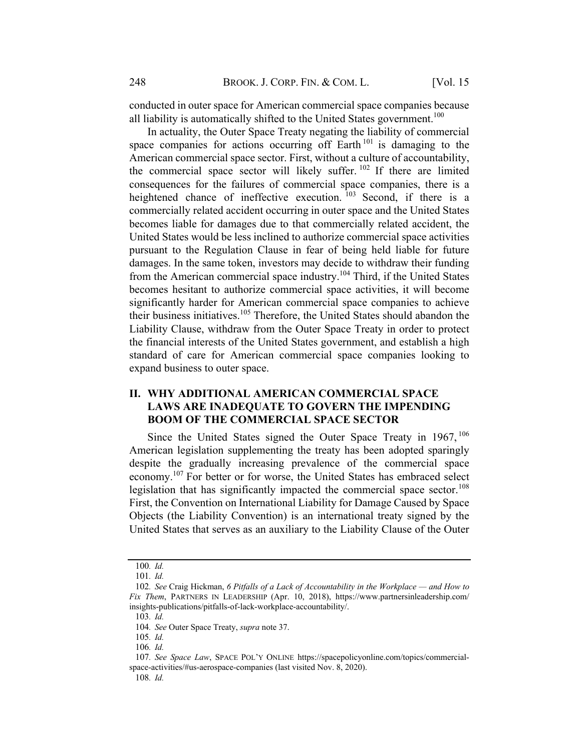conducted in outer space for American commercial space companies because all liability is automatically shifted to the United States government.<sup>100</sup>

In actuality, the Outer Space Treaty negating the liability of commercial space companies for actions occurring off Earth<sup>101</sup> is damaging to the American commercial space sector. First, without a culture of accountability, the commercial space sector will likely suffer.<sup>102</sup> If there are limited consequences for the failures of commercial space companies, there is a heightened chance of ineffective execution.<sup>103</sup> Second, if there is a commercially related accident occurring in outer space and the United States becomes liable for damages due to that commercially related accident, the United States would be less inclined to authorize commercial space activities pursuant to the Regulation Clause in fear of being held liable for future damages. In the same token, investors may decide to withdraw their funding from the American commercial space industry.<sup>104</sup> Third, if the United States becomes hesitant to authorize commercial space activities, it will become significantly harder for American commercial space companies to achieve their business initiatives.<sup>105</sup> Therefore, the United States should abandon the Liability Clause, withdraw from the Outer Space Treaty in order to protect the financial interests of the United States government, and establish a high standard of care for American commercial space companies looking to expand business to outer space.

# II. WHY ADDITIONAL AMERICAN COMMERCIAL SPACE LAWS ARE INADEQUATE TO GOVERN THE IMPENDING **BOOM OF THE COMMERCIAL SPACE SECTOR**

Since the United States signed the Outer Space Treaty in  $1967$ ,  $106$ American legislation supplementing the treaty has been adopted sparingly despite the gradually increasing prevalence of the commercial space economy.<sup>107</sup> For better or for worse, the United States has embraced select legislation that has significantly impacted the commercial space sector.<sup>108</sup> First, the Convention on International Liability for Damage Caused by Space Objects (the Liability Convention) is an international treaty signed by the United States that serves as an auxiliary to the Liability Clause of the Outer

<sup>100</sup>. Id.

<sup>101</sup>. Id.

<sup>102</sup>. See Craig Hickman, 6 Pitfalls of a Lack of Accountability in the Workplace — and How to Fix Them, PARTNERS IN LEADERSHIP (Apr. 10, 2018), https://www.partnersinleadership.com/ insights-publications/pitfalls-of-lack-workplace-accountability/.

<sup>103</sup>. Id.

<sup>104</sup>. See Outer Space Treaty, supra note 37.

<sup>105</sup>. Id.

<sup>106</sup>. Id.

<sup>107</sup>. See Space Law, SPACE POL'Y ONLINE https://spacepolicyonline.com/topics/commercialspace-activities/#us-aerospace-companies (last visited Nov. 8, 2020).

<sup>108</sup>. Id.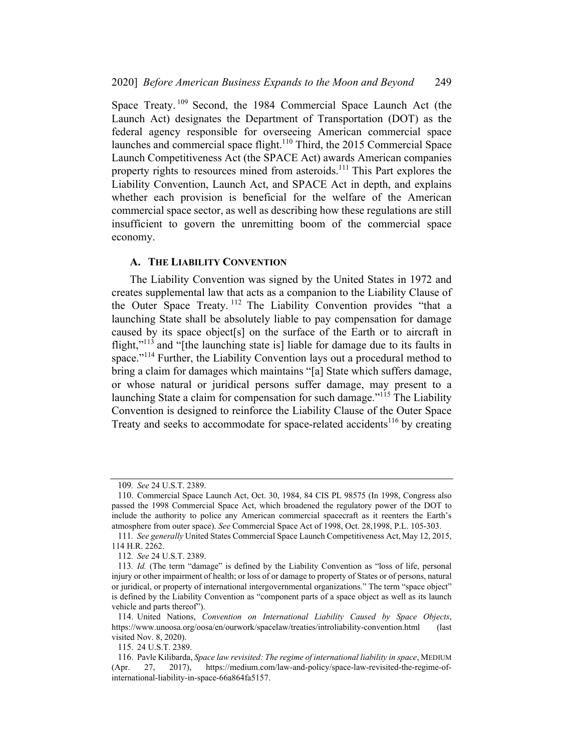Space Treaty.<sup>109</sup> Second, the 1984 Commercial Space Launch Act (the Launch Act) designates the Department of Transportation (DOT) as the federal agency responsible for overseeing American commercial space launches and commercial space flight.<sup>110</sup> Third, the 2015 Commercial Space Launch Competitiveness Act (the SPACE Act) awards American companies property rights to resources mined from asteroids.<sup>111</sup> This Part explores the Liability Convention, Launch Act, and SPACE Act in depth, and explains whether each provision is beneficial for the welfare of the American commercial space sector, as well as describing how these regulations are still insufficient to govern the unremitting boom of the commercial space economy.

#### A. THE LIABILITY CONVENTION

The Liability Convention was signed by the United States in 1972 and creates supplemental law that acts as a companion to the Liability Clause of the Outer Space Treaty. <sup>112</sup> The Liability Convention provides "that a launching State shall be absolutely liable to pay compensation for damage caused by its space object[s] on the surface of the Earth or to aircraft in flight, $"^{113}$  and "[the launching state is] liable for damage due to its faults in space."<sup>114</sup> Further, the Liability Convention lays out a procedural method to bring a claim for damages which maintains "[a] State which suffers damage, or whose natural or juridical persons suffer damage, may present to a launching State a claim for compensation for such damage."<sup>115</sup> The Liability Convention is designed to reinforce the Liability Clause of the Outer Space Treaty and seeks to accommodate for space-related accidents<sup>116</sup> by creating

<sup>109</sup>. See 24 U.S.T. 2389.

<sup>110.</sup> Commercial Space Launch Act, Oct. 30, 1984, 84 CIS PL 98575 (In 1998, Congress also passed the 1998 Commercial Space Act, which broadened the regulatory power of the DOT to include the authority to police any American commercial spacecraft as it reenters the Earth's atmosphere from outer space). See Commercial Space Act of 1998, Oct. 28,1998, P.L. 105-303.

<sup>111</sup>. See generally United States Commercial Space Launch Competitiveness Act, May 12, 2015, 114 H.R. 2262.

<sup>112</sup>. See 24 U.S.T. 2389.

<sup>113</sup>. Id. (The term "damage" is defined by the Liability Convention as "loss of life, personal injury or other impairment of health; or loss of or damage to property of States or of persons, natural or juridical, or property of international intergovernmental organizations." The term "space object" is defined by the Liability Convention as "component parts of a space object as well as its launch vehicle and parts thereof").

<sup>114.</sup> United Nations, Convention on International Liability Caused by Space Objects, https://www.unoosa.org/oosa/en/ourwork/spacelaw/treaties/introliability-convention.html (last visited Nov. 8, 2020).

<sup>115.</sup> 24 U.S.T. 2389.

<sup>116.</sup> Pavle Kilibarda, Space law revisited: The regime of international liability in space, MEDIUM (Apr. 27, 2017), https://medium.com/law-and-policy/space-law-revisited-the-regime-ofinternational-liability-in-space-66a864fa5157.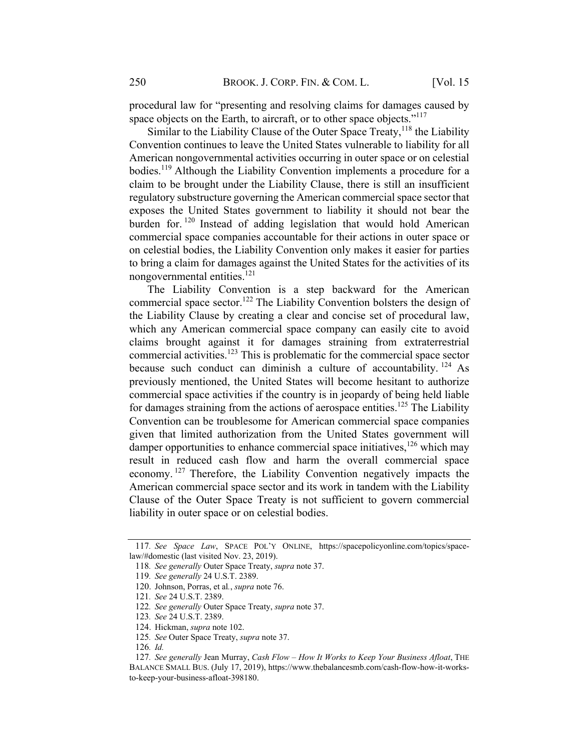procedural law for "presenting and resolving claims for damages caused by space objects on the Earth, to aircraft, or to other space objects."<sup>117</sup>

Similar to the Liability Clause of the Outer Space Treaty,  $118$  the Liability Convention continues to leave the United States vulnerable to liability for all American nongovernmental activities occurring in outer space or on celestial bodies.<sup>119</sup> Although the Liability Convention implements a procedure for a claim to be brought under the Liability Clause, there is still an insufficient regulatory substructure governing the American commercial space sector that exposes the United States government to liability it should not bear the burden for. <sup>120</sup> Instead of adding legislation that would hold American commercial space companies accountable for their actions in outer space or on celestial bodies, the Liability Convention only makes it easier for parties to bring a claim for damages against the United States for the activities of its nongovernmental entities.<sup>121</sup>

The Liability Convention is a step backward for the American commercial space sector.<sup>122</sup> The Liability Convention bolsters the design of the Liability Clause by creating a clear and concise set of procedural law, which any American commercial space company can easily cite to avoid claims brought against it for damages straining from extraterrestrial commercial activities.<sup>123</sup> This is problematic for the commercial space sector because such conduct can diminish a culture of accountability. <sup>124</sup> As previously mentioned, the United States will become hesitant to authorize commercial space activities if the country is in jeopardy of being held liable for damages straining from the actions of aerospace entities.<sup>125</sup> The Liability Convention can be troublesome for American commercial space companies given that limited authorization from the United States government will damper opportunities to enhance commercial space initiatives, <sup>126</sup> which may result in reduced cash flow and harm the overall commercial space economy. <sup>127</sup> Therefore, the Liability Convention negatively impacts the American commercial space sector and its work in tandem with the Liability Clause of the Outer Space Treaty is not sufficient to govern commercial liability in outer space or on celestial bodies.

<sup>117</sup>. See Space Law, SPACE POL'Y ONLINE, https://spacepolicyonline.com/topics/spacelaw/#domestic (last visited Nov. 23, 2019).

<sup>118</sup>. See generally Outer Space Treaty, supra note 37.

<sup>119</sup>. See generally 24 U.S.T. 2389.

<sup>120.</sup> Johnson, Porras, et al., supra note 76.

<sup>121</sup>. See 24 U.S.T. 2389.

<sup>122</sup>. See generally Outer Space Treaty, supra note 37.

<sup>123</sup>. See 24 U.S.T. 2389.

<sup>124.</sup> Hickman, supra note 102.

<sup>125</sup>. See Outer Space Treaty, supra note 37.

<sup>126</sup>. Id.

<sup>127.</sup> See generally Jean Murray, Cash Flow - How It Works to Keep Your Business Afloat, THE BALANCE SMALL BUS. (July 17, 2019), https://www.thebalancesmb.com/cash-flow-how-it-worksto-keep-your-business-afloat-398180.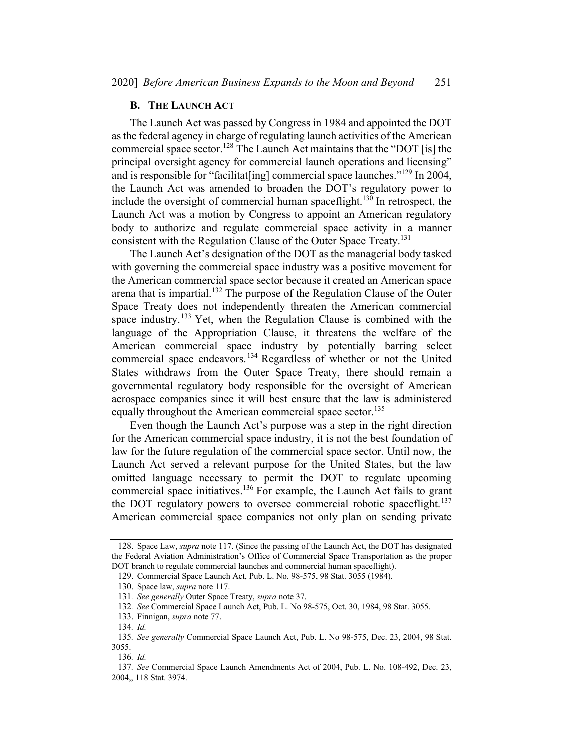#### **B.** THE LAUNCH ACT

The Launch Act was passed by Congress in 1984 and appointed the DOT asthe federal agency in charge of regulating launch activities of the American commercial space sector.<sup>128</sup> The Launch Act maintains that the "DOT [is] the principal oversight agency for commercial launch operations and licensing" and is responsible for "facilitat[ing] commercial space launches."<sup>129</sup> In 2004, the Launch Act was amended to broaden the DOT's regulatory power to include the oversight of commercial human spaceflight.<sup>130</sup> In retrospect, the Launch Act was a motion by Congress to appoint an American regulatory body to authorize and regulate commercial space activity in a manner consistent with the Regulation Clause of the Outer Space Treaty.<sup>131</sup>

The Launch Act's designation of the DOT as the managerial body tasked with governing the commercial space industry was a positive movement for the American commercial space sector because it created an American space arena that is impartial.<sup>132</sup> The purpose of the Regulation Clause of the Outer Space Treaty does not independently threaten the American commercial space industry.<sup>133</sup> Yet, when the Regulation Clause is combined with the language of the Appropriation Clause, it threatens the welfare of the American commercial space industry by potentially barring select commercial space endeavors.<sup>134</sup> Regardless of whether or not the United States withdraws from the Outer Space Treaty, there should remain a governmental regulatory body responsible for the oversight of American aerospace companies since it will best ensure that the law is administered equally throughout the American commercial space sector.<sup>135</sup>

Even though the Launch Act's purpose was a step in the right direction for the American commercial space industry, it is not the best foundation of law for the future regulation of the commercial space sector. Until now, the Launch Act served a relevant purpose for the United States, but the law omitted language necessary to permit the DOT to regulate upcoming commercial space initiatives.<sup>136</sup> For example, the Launch Act fails to grant the DOT regulatory powers to oversee commercial robotic spaceflight.<sup>137</sup> American commercial space companies not only plan on sending private

<sup>128.</sup> Space Law, *supra* note 117. (Since the passing of the Launch Act, the DOT has designated the Federal Aviation Administration's Office of Commercial Space Transportation as the proper DOT branch to regulate commercial launches and commercial human spaceflight).

<sup>129.</sup> Commercial Space Launch Act, Pub. L. No. 98-575, 98 Stat. 3055 (1984).

<sup>130.</sup> Space law, supra note 117.

<sup>131</sup>. See generally Outer Space Treaty, supra note 37.

<sup>132</sup>. See Commercial Space Launch Act, Pub. L. No 98-575, Oct. 30, 1984, 98 Stat. 3055.

<sup>133.</sup> Finnigan, supra note 77.

<sup>134</sup>. Id.

<sup>135</sup>. See generally Commercial Space Launch Act, Pub. L. No 98-575, Dec. 23, 2004, 98 Stat. 3055.

<sup>136</sup>. Id.

<sup>137</sup>. See Commercial Space Launch Amendments Act of 2004, Pub. L. No. 108-492, Dec. 23, 2004,, 118 Stat. 3974.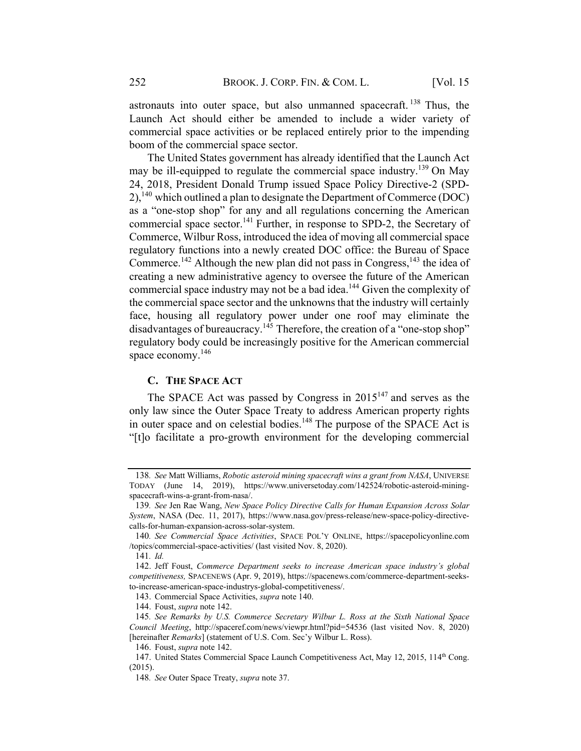astronauts into outer space, but also unmanned spacecraft. <sup>138</sup> Thus, the Launch Act should either be amended to include a wider variety of commercial space activities or be replaced entirely prior to the impending boom of the commercial space sector.

The United States government has already identified that the Launch Act may be ill-equipped to regulate the commercial space industry.<sup>139</sup> On May 24, 2018, President Donald Trump issued Space Policy Directive-2 (SPD- $2$ ,<sup>140</sup> which outlined a plan to designate the Department of Commerce (DOC) as a "one-stop shop" for any and all regulations concerning the American commercial space sector.<sup>141</sup> Further, in response to SPD-2, the Secretary of Commerce, Wilbur Ross, introduced the idea of moving all commercial space regulatory functions into a newly created DOC office: the Bureau of Space Commerce.<sup>142</sup> Although the new plan did not pass in Congress,<sup>143</sup> the idea of creating a new administrative agency to oversee the future of the American commercial space industry may not be a bad idea.<sup>144</sup> Given the complexity of the commercial space sector and the unknowns that the industry will certainly face, housing all regulatory power under one roof may eliminate the disadvantages of bureaucracy.<sup>145</sup> Therefore, the creation of a "one-stop shop" regulatory body could be increasingly positive for the American commercial space economy.<sup>146</sup>

### **C. THE SPACE ACT**

The SPACE Act was passed by Congress in  $2015^{147}$  and serves as the only law since the Outer Space Treaty to address American property rights in outer space and on celestial bodies.<sup>148</sup> The purpose of the SPACE Act is "[t]o facilitate a pro-growth environment for the developing commercial

143. Commercial Space Activities, supra note 140.

144. Foust, supra note 142.

<sup>138.</sup> See Matt Williams, Robotic asteroid mining spacecraft wins a grant from NASA, UNIVERSE TODAY (June 14, 2019), https://www.universetoday.com/142524/robotic-asteroid-miningspacecraft-wins-a-grant-from-nasa/.

<sup>139</sup>. See Jen Rae Wang, New Space Policy Directive Calls for Human Expansion Across Solar System, NASA (Dec. 11, 2017), https://www.nasa.gov/press-release/new-space-policy-directivecalls-for-human-expansion-across-solar-system.

<sup>140</sup>. See Commercial Space Activities, SPACE POL'Y ONLINE, https://spacepolicyonline.com /topics/commercial-space-activities/ (last visited Nov. 8, 2020).

<sup>141</sup>. Id.

<sup>142.</sup> Jeff Foust, Commerce Department seeks to increase American space industry's global competitiveness, SPACENEWS (Apr. 9, 2019), https://spacenews.com/commerce-department-seeksto-increase-american-space-industrys-global-competitiveness/.

<sup>145</sup>. See Remarks by U.S. Commerce Secretary Wilbur L. Ross at the Sixth National Space Council Meeting, http://spaceref.com/news/viewpr.html?pid=54536 (last visited Nov. 8, 2020) [hereinafter Remarks] (statement of U.S. Com. Sec'y Wilbur L. Ross).

<sup>146.</sup> Foust, supra note 142.

<sup>147.</sup> United States Commercial Space Launch Competitiveness Act, May 12, 2015, 114th Cong. (2015).

<sup>148</sup>. See Outer Space Treaty, supra note 37.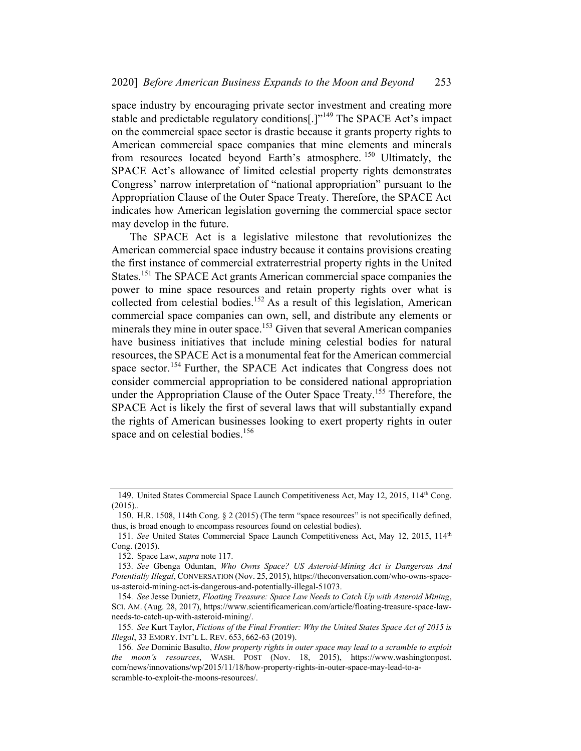space industry by encouraging private sector investment and creating more stable and predictable regulatory conditions[.]"149 The SPACE Act's impact on the commercial space sector is drastic because it grants property rights to American commercial space companies that mine elements and minerals from resources located beyond Earth's atmosphere. <sup>150</sup> Ultimately, the SPACE Act's allowance of limited celestial property rights demonstrates Congress' narrow interpretation of "national appropriation" pursuant to the Appropriation Clause of the Outer Space Treaty. Therefore, the SPACE Act indicates how American legislation governing the commercial space sector may develop in the future.

The SPACE Act is a legislative milestone that revolutionizes the American commercial space industry because it contains provisions creating the first instance of commercial extraterrestrial property rights in the United States.<sup>151</sup> The SPACE Act grants American commercial space companies the power to mine space resources and retain property rights over what is collected from celestial bodies.<sup>152</sup> As a result of this legislation, American commercial space companies can own, sell, and distribute any elements or minerals they mine in outer space.<sup>153</sup> Given that several American companies have business initiatives that include mining celestial bodies for natural resources, the SPACE Act is a monumental feat for the American commercial space sector.<sup>154</sup> Further, the SPACE Act indicates that Congress does not consider commercial appropriation to be considered national appropriation under the Appropriation Clause of the Outer Space Treaty.<sup>155</sup> Therefore, the SPACE Act is likely the first of several laws that will substantially expand the rights of American businesses looking to exert property rights in outer space and on celestial bodies.<sup>156</sup>

<sup>149.</sup> United States Commercial Space Launch Competitiveness Act, May 12, 2015, 114<sup>th</sup> Cong.  $(2015)$ ..

<sup>150.</sup> H.R. 1508, 114th Cong. § 2 (2015) (The term "space resources" is not specifically defined, thus, is broad enough to encompass resources found on celestial bodies).

<sup>151.</sup> See United States Commercial Space Launch Competitiveness Act, May 12, 2015, 114<sup>th</sup> Cong. (2015).

<sup>152.</sup> Space Law, supra note 117.

<sup>153</sup>. See Gbenga Oduntan, Who Owns Space? US Asteroid-Mining Act is Dangerous And Potentially Illegal, CONVERSATION (Nov. 25, 2015), https://theconversation.com/who-owns-spaceus-asteroid-mining-act-is-dangerous-and-potentially-illegal-51073.

<sup>154.</sup> See Jesse Dunietz, Floating Treasure: Space Law Needs to Catch Up with Asteroid Mining, SCI. AM. (Aug. 28, 2017), https://www.scientificamerican.com/article/floating-treasure-space-lawneeds-to-catch-up-with-asteroid-mining/.

<sup>155</sup>. See Kurt Taylor, Fictions of the Final Frontier: Why the United States Space Act of 2015 is Illegal, 33 EMORY. INT'L L. REV. 653, 662-63 (2019).

<sup>156</sup>. See Dominic Basulto, How property rights in outer space may lead to a scramble to exploit the moon's resources, WASH. POST (Nov. 18, 2015), https://www.washingtonpost. com/news/innovations/wp/2015/11/18/how-property-rights-in-outer-space-may-lead-to-ascramble-to-exploit-the-moons-resources/.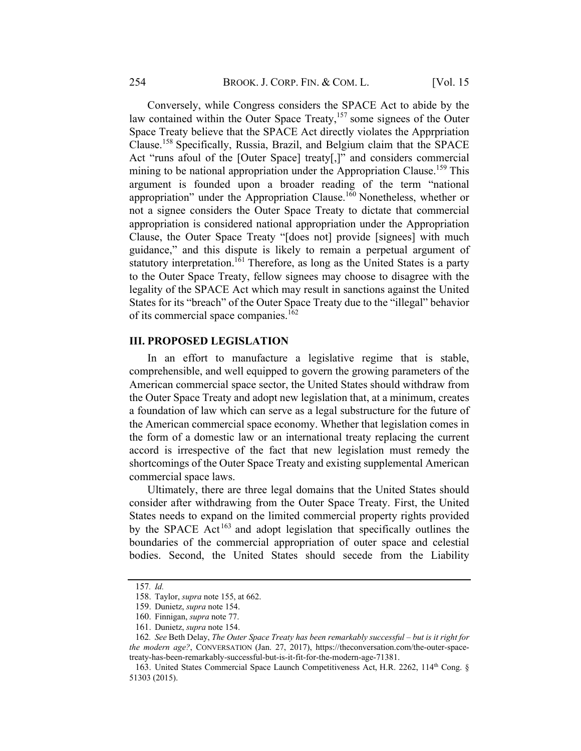Conversely, while Congress considers the SPACE Act to abide by the law contained within the Outer Space Treaty,<sup>157</sup> some signees of the Outer Space Treaty believe that the SPACE Act directly violates the Apprpriation Clause.<sup>158</sup> Specifically, Russia, Brazil, and Belgium claim that the SPACE Act "runs afoul of the [Outer Space] treaty[,]" and considers commercial mining to be national appropriation under the Appropriation Clause.<sup>159</sup> This argument is founded upon a broader reading of the term "national appropriation" under the Appropriation Clause.<sup>160</sup> Nonetheless, whether or not a signee considers the Outer Space Treaty to dictate that commercial appropriation is considered national appropriation under the Appropriation Clause, the Outer Space Treaty "[does not] provide [signees] with much guidance," and this dispute is likely to remain a perpetual argument of statutory interpretation.<sup>161</sup> Therefore, as long as the United States is a party to the Outer Space Treaty, fellow signees may choose to disagree with the legality of the SPACE Act which may result in sanctions against the United States for its "breach" of the Outer Space Treaty due to the "illegal" behavior of its commercial space companies.<sup>162</sup>

# **III. PROPOSED LEGISLATION**

In an effort to manufacture a legislative regime that is stable, comprehensible, and well equipped to govern the growing parameters of the American commercial space sector, the United States should withdraw from the Outer Space Treaty and adopt new legislation that, at a minimum, creates a foundation of law which can serve as a legal substructure for the future of the American commercial space economy. Whether that legislation comes in the form of a domestic law or an international treaty replacing the current accord is irrespective of the fact that new legislation must remedy the shortcomings of the Outer Space Treaty and existing supplemental American commercial space laws.

Ultimately, there are three legal domains that the United States should consider after withdrawing from the Outer Space Treaty. First, the United States needs to expand on the limited commercial property rights provided by the SPACE Act<sup>163</sup> and adopt legislation that specifically outlines the boundaries of the commercial appropriation of outer space and celestial bodies. Second, the United States should secede from the Liability

<sup>157</sup>. Id.

<sup>158.</sup> Taylor, supra note 155, at 662.

<sup>159.</sup> Dunietz, supra note 154.

<sup>160.</sup> Finnigan, supra note 77.

<sup>161.</sup> Dunietz, supra note 154.

<sup>162</sup>. See Beth Delay, The Outer Space Treaty has been remarkably successful – but is it right for the modern age?, CONVERSATION (Jan. 27, 2017), https://theconversation.com/the-outer-spacetreaty-has-been-remarkably-successful-but-is-it-fit-for-the-modern-age-71381.

<sup>163.</sup> United States Commercial Space Launch Competitiveness Act, H.R. 2262, 114th Cong. § 51303 (2015).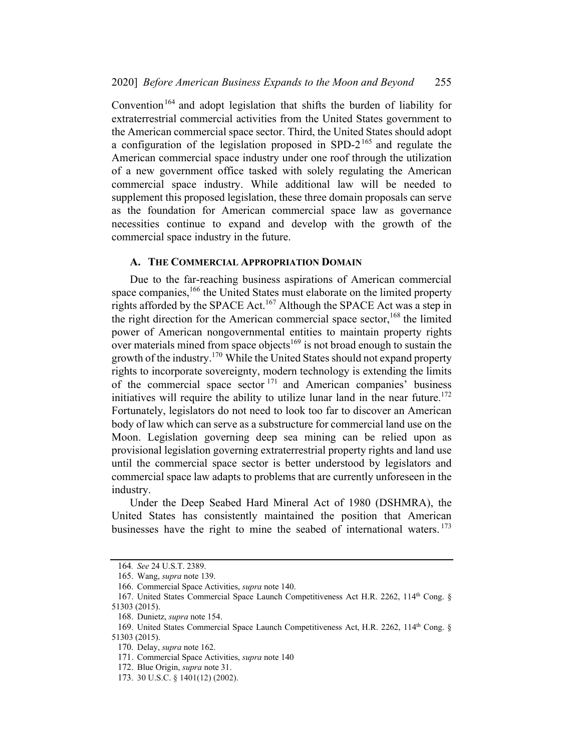Convention<sup>164</sup> and adopt legislation that shifts the burden of liability for extraterrestrial commercial activities from the United States government to the American commercial space sector. Third, the United States should adopt a configuration of the legislation proposed in SPD- $2^{165}$  and regulate the American commercial space industry under one roof through the utilization of a new government office tasked with solely regulating the American commercial space industry. While additional law will be needed to supplement this proposed legislation, these three domain proposals can serve as the foundation for American commercial space law as governance necessities continue to expand and develop with the growth of the commercial space industry in the future.

#### A. THE COMMERCIAL APPROPRIATION DOMAIN

Due to the far-reaching business aspirations of American commercial space companies,  $166$  the United States must elaborate on the limited property rights afforded by the SPACE Act.<sup>167</sup> Although the SPACE Act was a step in the right direction for the American commercial space sector,  $^{168}$  the limited power of American nongovernmental entities to maintain property rights over materials mined from space objects<sup>169</sup> is not broad enough to sustain the growth of the industry.<sup>170</sup> While the United States should not expand property rights to incorporate sovereignty, modern technology is extending the limits of the commercial space sector  $171$  and American companies' business initiatives will require the ability to utilize lunar land in the near future.<sup>172</sup> Fortunately, legislators do not need to look too far to discover an American body of law which can serve as a substructure for commercial land use on the Moon. Legislation governing deep sea mining can be relied upon as provisional legislation governing extraterrestrial property rights and land use until the commercial space sector is better understood by legislators and commercial space law adapts to problems that are currently unforeseen in the industry.

Under the Deep Seabed Hard Mineral Act of 1980 (DSHMRA), the United States has consistently maintained the position that American businesses have the right to mine the seabed of international waters.<sup>173</sup>

<sup>164</sup>. See 24 U.S.T. 2389.

<sup>165.</sup> Wang, supra note 139.

<sup>166.</sup> Commercial Space Activities, supra note 140.

<sup>167.</sup> United States Commercial Space Launch Competitiveness Act H.R. 2262, 114th Cong. § 51303 (2015).

<sup>168.</sup> Dunietz, supra note 154.

<sup>169.</sup> United States Commercial Space Launch Competitiveness Act, H.R. 2262, 114th Cong. § 51303 (2015).

<sup>170.</sup> Delay, supra note 162.

<sup>171.</sup> Commercial Space Activities, supra note 140

<sup>172.</sup> Blue Origin, *supra* note 31.

<sup>173.</sup> 30 U.S.C. § 1401(12) (2002).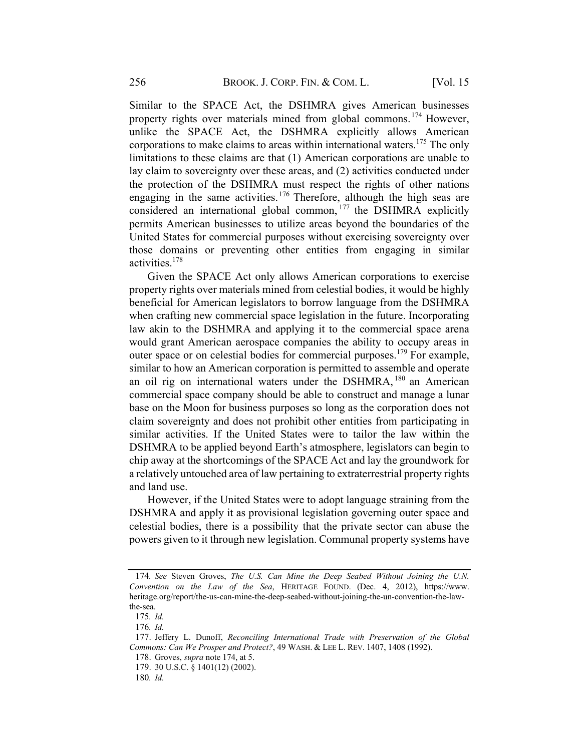Similar to the SPACE Act, the DSHMRA gives American businesses property rights over materials mined from global commons.<sup>174</sup> However, unlike the SPACE Act, the DSHMRA explicitly allows American corporations to make claims to areas within international waters.<sup>175</sup> The only limitations to these claims are that (1) American corporations are unable to lay claim to sovereignty over these areas, and (2) activities conducted under the protection of the DSHMRA must respect the rights of other nations engaging in the same activities.<sup>176</sup> Therefore, although the high seas are considered an international global common, <sup>177</sup> the DSHMRA explicitly permits American businesses to utilize areas beyond the boundaries of the United States for commercial purposes without exercising sovereignty over those domains or preventing other entities from engaging in similar activities.<sup>178</sup>

Given the SPACE Act only allows American corporations to exercise property rights over materials mined from celestial bodies, it would be highly beneficial for American legislators to borrow language from the DSHMRA when crafting new commercial space legislation in the future. Incorporating law akin to the DSHMRA and applying it to the commercial space arena would grant American aerospace companies the ability to occupy areas in outer space or on celestial bodies for commercial purposes.<sup>179</sup> For example, similar to how an American corporation is permitted to assemble and operate an oil rig on international waters under the DSHMRA, <sup>180</sup> an American commercial space company should be able to construct and manage a lunar base on the Moon for business purposes so long as the corporation does not claim sovereignty and does not prohibit other entities from participating in similar activities. If the United States were to tailor the law within the DSHMRA to be applied beyond Earth's atmosphere, legislators can begin to chip away at the shortcomings of the SPACE Act and lay the groundwork for a relatively untouched area of law pertaining to extraterrestrial property rights and land use.

However, if the United States were to adopt language straining from the DSHMRA and apply it as provisional legislation governing outer space and celestial bodies, there is a possibility that the private sector can abuse the powers given to it through new legislation. Communal property systems have

<sup>174</sup>. See Steven Groves, The U.S. Can Mine the Deep Seabed Without Joining the U.N. Convention on the Law of the Sea, HERITAGE FOUND. (Dec. 4, 2012), https://www. heritage.org/report/the-us-can-mine-the-deep-seabed-without-joining-the-un-convention-the-lawthe-sea.

<sup>175</sup>. Id.

<sup>176</sup>. Id.

<sup>177.</sup> Jeffery L. Dunoff, Reconciling International Trade with Preservation of the Global Commons: Can We Prosper and Protect?, 49 WASH. & LEE L. REV. 1407, 1408 (1992).

<sup>178.</sup> Groves, supra note 174, at 5.

<sup>179.</sup> 30 U.S.C. § 1401(12) (2002).

<sup>180</sup>. Id.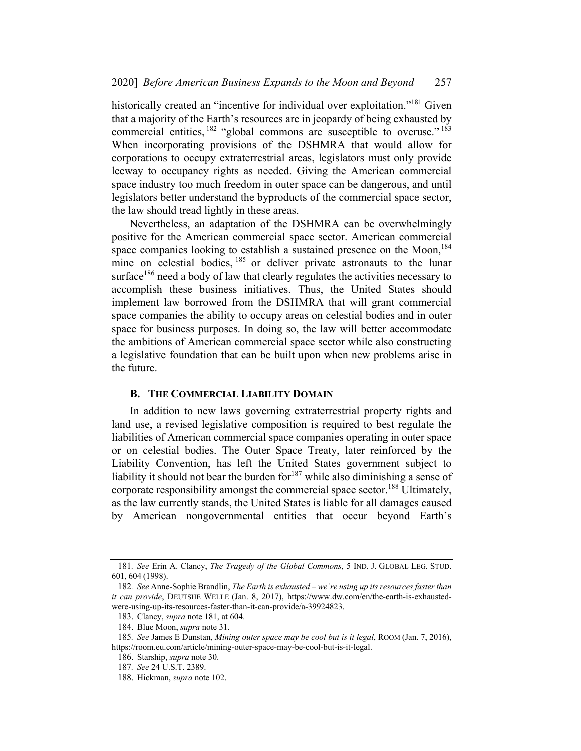historically created an "incentive for individual over exploitation."<sup>181</sup> Given that a majority of the Earth's resources are in jeopardy of being exhausted by commercial entities,  $182$  "global commons are susceptible to overuse."  $183$ When incorporating provisions of the DSHMRA that would allow for corporations to occupy extraterrestrial areas, legislators must only provide leeway to occupancy rights as needed. Giving the American commercial space industry too much freedom in outer space can be dangerous, and until legislators better understand the byproducts of the commercial space sector, the law should tread lightly in these areas.

Nevertheless, an adaptation of the DSHMRA can be overwhelmingly positive for the American commercial space sector. American commercial space companies looking to establish a sustained presence on the Moon,<sup>184</sup> mine on celestial bodies, <sup>185</sup> or deliver private astronauts to the lunar surface<sup>186</sup> need a body of law that clearly regulates the activities necessary to accomplish these business initiatives. Thus, the United States should implement law borrowed from the DSHMRA that will grant commercial space companies the ability to occupy areas on celestial bodies and in outer space for business purposes. In doing so, the law will better accommodate the ambitions of American commercial space sector while also constructing a legislative foundation that can be built upon when new problems arise in the future.

#### **B. THE COMMERCIAL LIABILITY DOMAIN**

In addition to new laws governing extraterrestrial property rights and land use, a revised legislative composition is required to best regulate the liabilities of American commercial space companies operating in outer space or on celestial bodies. The Outer Space Treaty, later reinforced by the Liability Convention, has left the United States government subject to liability it should not bear the burden for  $187$  while also diminishing a sense of corporate responsibility amongst the commercial space sector.<sup>188</sup> Ultimately, as the law currently stands, the United States is liable for all damages caused by American nongovernmental entities that occur beyond Earth's

<sup>181.</sup> See Erin A. Clancy, The Tragedy of the Global Commons, 5 IND. J. GLOBAL LEG. STUD. 601, 604 (1998).

<sup>182.</sup> See Anne-Sophie Brandlin, The Earth is exhausted – we're using up its resources faster than it can provide, DEUTSHE WELLE (Jan. 8, 2017), https://www.dw.com/en/the-earth-is-exhaustedwere-using-up-its-resources-faster-than-it-can-provide/a-39924823.

<sup>183.</sup> Clancy, supra note 181, at 604.

<sup>184.</sup> Blue Moon, supra note 31.

<sup>185.</sup> See James E Dunstan, Mining outer space may be cool but is it legal, ROOM (Jan. 7, 2016), https://room.eu.com/article/mining-outer-space-may-be-cool-but-is-it-legal.

<sup>186.</sup> Starship, supra note 30.

<sup>187</sup>. See 24 U.S.T. 2389.

<sup>188.</sup> Hickman, supra note 102.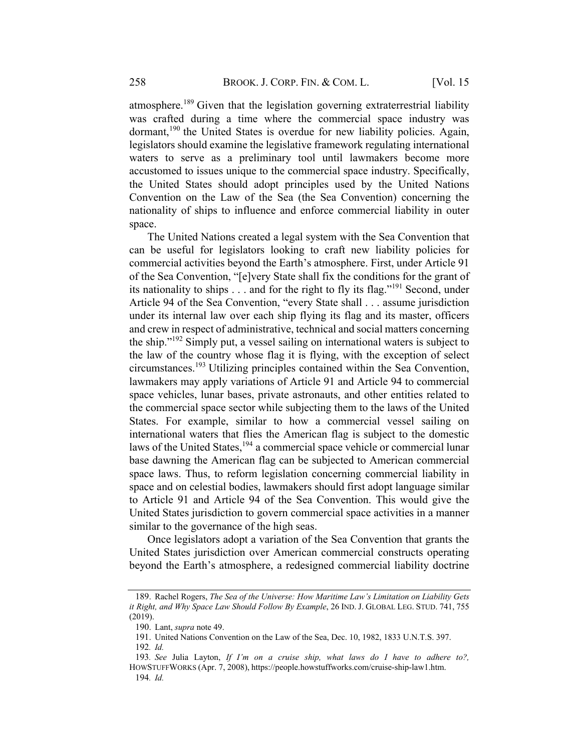atmosphere.<sup>189</sup> Given that the legislation governing extraterrestrial liability was crafted during a time where the commercial space industry was dormant,<sup>190</sup> the United States is overdue for new liability policies. Again, legislators should examine the legislative framework regulating international waters to serve as a preliminary tool until lawmakers become more accustomed to issues unique to the commercial space industry. Specifically, the United States should adopt principles used by the United Nations Convention on the Law of the Sea (the Sea Convention) concerning the nationality of ships to influence and enforce commercial liability in outer space.

The United Nations created a legal system with the Sea Convention that can be useful for legislators looking to craft new liability policies for commercial activities beyond the Earth's atmosphere. First, under Article 91 of the Sea Convention, "[e]very State shall fix the conditions for the grant of its nationality to ships  $\dots$  and for the right to fly its flag."<sup>191</sup> Second, under Article 94 of the Sea Convention, "every State shall . . . assume jurisdiction under its internal law over each ship flying its flag and its master, officers and crew in respect of administrative, technical and social matters concerning the ship."<sup>192</sup> Simply put, a vessel sailing on international waters is subject to the law of the country whose flag it is flying, with the exception of select circumstances. <sup>193</sup> Utilizing principles contained within the Sea Convention, lawmakers may apply variations of Article 91 and Article 94 to commercial space vehicles, lunar bases, private astronauts, and other entities related to the commercial space sector while subjecting them to the laws of the United States. For example, similar to how a commercial vessel sailing on international waters that flies the American flag is subject to the domestic laws of the United States, <sup>194</sup> a commercial space vehicle or commercial lunar base dawning the American flag can be subjected to American commercial space laws. Thus, to reform legislation concerning commercial liability in space and on celestial bodies, lawmakers should first adopt language similar to Article 91 and Article 94 of the Sea Convention. This would give the United States jurisdiction to govern commercial space activities in a manner similar to the governance of the high seas.

Once legislators adopt a variation of the Sea Convention that grants the United States jurisdiction over American commercial constructs operating beyond the Earth's atmosphere, a redesigned commercial liability doctrine

<sup>189.</sup> Rachel Rogers, The Sea of the Universe: How Maritime Law's Limitation on Liability Gets it Right, and Why Space Law Should Follow By Example, 26 IND. J. GLOBAL LEG. STUD. 741, 755 (2019).

<sup>190.</sup> Lant, supra note 49.

<sup>191.</sup> United Nations Convention on the Law of the Sea, Dec. 10, 1982, 1833 U.N.T.S. 397.

<sup>192</sup>. Id.

<sup>193.</sup> See Julia Layton, If I'm on a cruise ship, what laws do I have to adhere to?, HOWSTUFFWORKS (Apr. 7, 2008), https://people.howstuffworks.com/cruise-ship-law1.htm. 194. Id.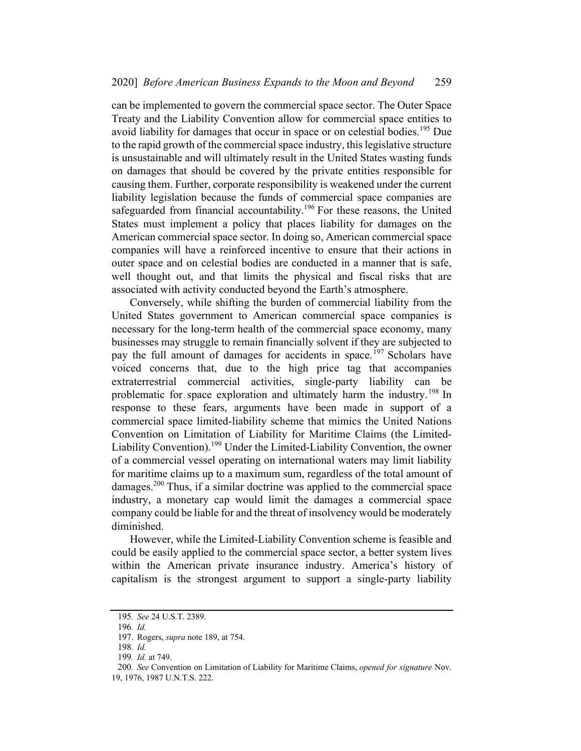can be implemented to govern the commercial space sector. The Outer Space Treaty and the Liability Convention allow for commercial space entities to avoid liability for damages that occur in space or on celestial bodies.<sup>195</sup> Due to the rapid growth of the commercial space industry, this legislative structure is unsustainable and will ultimately result in the United States wasting funds on damages that should be covered by the private entities responsible for causing them. Further, corporate responsibility is weakened under the current liability legislation because the funds of commercial space companies are safeguarded from financial accountability.<sup>196</sup> For these reasons, the United States must implement a policy that places liability for damages on the American commercial space sector. In doing so, American commercial space companies will have a reinforced incentive to ensure that their actions in outer space and on celestial bodies are conducted in a manner that is safe, well thought out, and that limits the physical and fiscal risks that are associated with activity conducted beyond the Earth's atmosphere.

Conversely, while shifting the burden of commercial liability from the United States government to American commercial space companies is necessary for the long-term health of the commercial space economy, many businesses may struggle to remain financially solvent if they are subjected to pay the full amount of damages for accidents in space.<sup>197</sup> Scholars have voiced concerns that, due to the high price tag that accompanies extraterrestrial commercial activities, single-party liability can be problematic for space exploration and ultimately harm the industry.<sup>198</sup> In response to these fears, arguments have been made in support of a commercial space limited-liability scheme that mimics the United Nations Convention on Limitation of Liability for Maritime Claims (the Limited-Liability Convention).<sup>199</sup> Under the Limited-Liability Convention, the owner of a commercial vessel operating on international waters may limit liability for maritime claims up to a maximum sum, regardless of the total amount of damages.<sup>200</sup> Thus, if a similar doctrine was applied to the commercial space industry, a monetary cap would limit the damages a commercial space company could be liable for and the threat of insolvency would be moderately diminished.

However, while the Limited-Liability Convention scheme is feasible and could be easily applied to the commercial space sector, a better system lives within the American private insurance industry. America's history of capitalism is the strongest argument to support a single-party liability

<sup>195</sup>. See 24 U.S.T. 2389.

<sup>196</sup>. Id.

<sup>197.</sup> Rogers, supra note 189, at 754.

<sup>198</sup>. Id.

<sup>199</sup>. Id. at 749.

<sup>200.</sup> See Convention on Limitation of Liability for Maritime Claims, opened for signature Nov.

<sup>19,</sup> 1976, 1987 U.N.T.S. 222.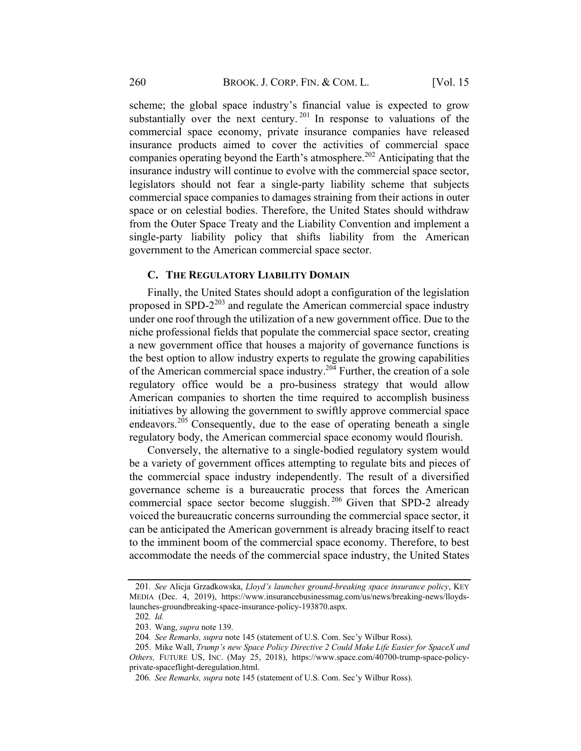scheme; the global space industry's financial value is expected to grow substantially over the next century.  $201$  In response to valuations of the commercial space economy, private insurance companies have released insurance products aimed to cover the activities of commercial space companies operating beyond the Earth's atmosphere.<sup>202</sup> Anticipating that the insurance industry will continue to evolve with the commercial space sector, legislators should not fear a single-party liability scheme that subjects commercial space companies to damages straining from their actions in outer space or on celestial bodies. Therefore, the United States should withdraw from the Outer Space Treaty and the Liability Convention and implement a single-party liability policy that shifts liability from the American government to the American commercial space sector.

#### C. THE REGULATORY LIABILITY DOMAIN

Finally, the United States should adopt a configuration of the legislation proposed in SPD- $2^{203}$  and regulate the American commercial space industry under one roof through the utilization of a new government office. Due to the niche professional fields that populate the commercial space sector, creating a new government office that houses a majority of governance functions is the best option to allow industry experts to regulate the growing capabilities of the American commercial space industry.<sup>204</sup> Further, the creation of a sole regulatory office would be a pro-business strategy that would allow American companies to shorten the time required to accomplish business initiatives by allowing the government to swiftly approve commercial space endeavors.<sup>205</sup> Consequently, due to the ease of operating beneath a single regulatory body, the American commercial space economy would flourish.

Conversely, the alternative to a single-bodied regulatory system would be a variety of government offices attempting to regulate bits and pieces of the commercial space industry independently. The result of a diversified governance scheme is a bureaucratic process that forces the American commercial space sector become sluggish.<sup>206</sup> Given that SPD-2 already voiced the bureaucratic concerns surrounding the commercial space sector, it can be anticipated the American government is already bracing itself to react to the imminent boom of the commercial space economy. Therefore, to best accommodate the needs of the commercial space industry, the United States

<sup>201</sup>. See Alicja Grzadkowska, Lloyd's launches ground-breaking space insurance policy, KEY MEDIA (Dec. 4, 2019), https://www.insurancebusinessmag.com/us/news/breaking-news/lloydslaunches-groundbreaking-space-insurance-policy-193870.aspx.

<sup>202</sup>. Id.

<sup>203.</sup> Wang, supra note 139.

<sup>204</sup>. See Remarks, supra note 145 (statement of U.S. Com. Sec'y Wilbur Ross).

<sup>205.</sup> Mike Wall, Trump's new Space Policy Directive 2 Could Make Life Easier for SpaceX and Others, FUTURE US, INC. (May 25, 2018), https://www.space.com/40700-trump-space-policyprivate-spaceflight-deregulation.html.

<sup>206</sup>. See Remarks, supra note 145 (statement of U.S. Com. Sec'y Wilbur Ross).